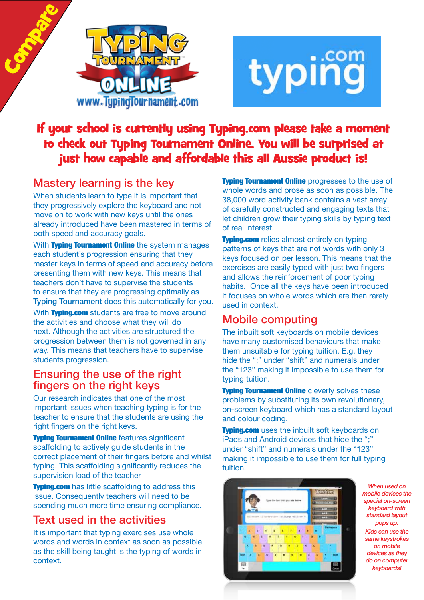



# If your school is currently using Typing.com please take a moment to check out Typing Tournament Online. You will be surprised at just how capable and affordable this all Aussie product is!

## Mastery learning is the key

Compare

When students learn to type it is important that they progressively explore the keyboard and not move on to work with new keys until the ones already introduced have been mastered in terms of both speed and accuracy goals.

With Typing Tournament Online the system manages each student's progression ensuring that they master keys in terms of speed and accuracy before presenting them with new keys. This means that teachers don't have to supervise the students to ensure that they are progressing optimally as Typing Tournament does this automatically for you.

With Typing.com students are free to move around the activities and choose what they will do next. Although the activities are structured the progression between them is not governed in any way. This means that teachers have to supervise students progression.

#### Ensuring the use of the right fingers on the right keys

Our research indicates that one of the most important issues when teaching typing is for the teacher to ensure that the students are using the right fingers on the right keys.

**Typing Tournament Online features significant** scaffolding to actively guide students in the correct placement of their fingers before and whilst typing. This scaffolding significantly reduces the supervision load of the teacher

**Typing.com** has little scaffolding to address this issue. Consequently teachers will need to be spending much more time ensuring compliance.

## Text used in the activities

It is important that typing exercises use whole words and words in context as soon as possible as the skill being taught is the typing of words in context.

**Typing Tournament Online** progresses to the use of whole words and prose as soon as possible. The 38,000 word activity bank contains a vast array of carefully constructed and engaging texts that let children grow their typing skills by typing text of real interest.

**Typing.com** relies almost entirely on typing patterns of keys that are not words with only 3 keys focused on per lesson. This means that the exercises are easily typed with just two fingers and allows the reinforcement of poor typing habits. Once all the keys have been introduced it focuses on whole words which are then rarely used in context.

## Mobile computing

The inbuilt soft keyboards on mobile devices have many customised behaviours that make them unsuitable for typing tuition. E.g. they hide the ";" under "shift" and numerals under the "123" making it impossible to use them for typing tuition.

**Typing Tournament Online cleverly solves these** problems by substituting its own revolutionary, on-screen keyboard which has a standard layout and colour coding.

**Typing.com** uses the inbuilt soft keyboards on iPads and Android devices that hide the ";" under "shift" and numerals under the "123" making it impossible to use them for full typing tuition.



*When used on mobile devices the special on-screen keyboard with standard layout pops up. Kids can use the same keystrokes on mobile devices as they do on computer keyboards!*